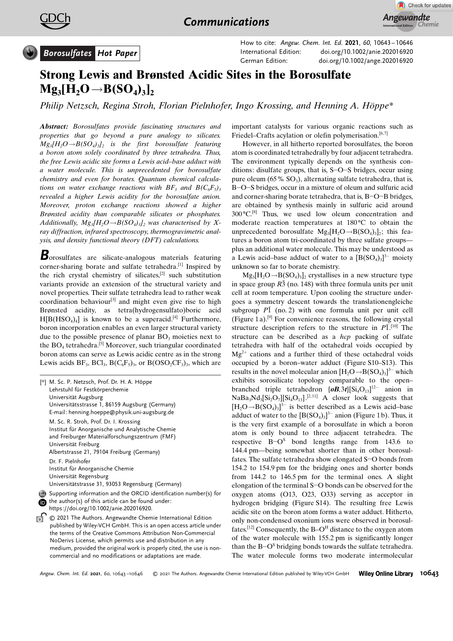



How to cite: Angew. Chem. Int. Ed. 2021, 60, 10643 – 10646 International Edition: doi.org/[10.1002/anie.202016920](http://dx.doi.org/10.1002/anie.202016920) German Edition: doi.org[/10.1002/ange.202016920](http://dx.doi.org/10.1002/ange.202016920)

## Strong Lewis and Brønsted Acidic Sites in the Borosulfate  $Mg_3[H_2O \rightarrow B(SO_4)_3],$

[Philip Netzsch, R](http://orcid.org/0000-0003-2537-2292)egina Stroh, [Florian Pielnhofer,](http://orcid.org/0000-0001-5309-4301) [Ingo Krossing, and](http://orcid.org/0000-0002-7182-4387) Henning A. Höppe $*$ 

Abstract: Borosulfates provide fascinating structures and properties that go beyond a pure analogy to silicates.  $Mg_3[H_2O \rightarrow B(SO_4)_3]_2$  is the first borosulfate featuring a boron atom solely coordinated by three tetrahedra. Thus, the free Lewis acidic site forms a Lewis acid–base adduct with a water molecule. This is unprecedented for borosulfate chemistry and even for borates. Quantum chemical calculations on water exchange reactions with  $BF_3$  and  $B(C_6F_5)$ revealed a higher Lewis acidity for the borosulfate anion. Moreover, proton exchange reactions showed a higher Brønsted acidity than comparable silicates or phosphates. Additionally,  $Mg_3[H_2O \rightarrow B(SO_4)_3]_2$  was characterised by Xray diffraction, infrared spectroscopy, thermogravimetric analysis, and density functional theory (DFT) calculations.

**B**orosulfates are silicate-analogous materials featuring corner-sharing borate and sulfate tetrahedra.[1] Inspired by the rich crystal chemistry of silicates,[2] such substitution variants provide an extension of the structural variety and novel properties. Their sulfate tetrahedra lead to rather weak coordination behaviour<sup>[3]</sup> and might even give rise to high Brønsted acidity, as tetra(hydrogensulfato)boric acid  $H[B(HSO<sub>4</sub>)<sub>4</sub>]$  is known to be a superacid.<sup>[4]</sup> Furthermore, boron incorporation enables an even larger structural variety due to the possible presence of planar  $BO<sub>3</sub>$  moieties next to the  $BO_4$  tetrahedra.<sup>[5]</sup> Moreover, such triangular coordinated boron atoms can serve as Lewis acidic centre as in the strong Lewis acids  $BF_3$ ,  $BCI_3$ ,  $B(C_6F_5)$ <sub>3</sub>, or  $B(OSO_2CF_3)$ <sub>3</sub>, which are

| [*] M. Sc. P. Netzsch, Prof. Dr. H. A. Höppe<br>Lehrstuhl für Festkörperchemie                                                                                                                                                                                                                                                           |
|------------------------------------------------------------------------------------------------------------------------------------------------------------------------------------------------------------------------------------------------------------------------------------------------------------------------------------------|
| Universität Augsburg<br>Universitätsstrasse 1, 86159 Augsburg (Germany)<br>E-mail: henning.hoeppe@physik.uni-augsburg.de                                                                                                                                                                                                                 |
| M. Sc. R. Stroh, Prof. Dr. I. Krossing<br>Institut für Anorganische und Analytische Chemie<br>and Freiburger Materialforschungszentrum (FMF)<br>Universität Freiburg<br>Albertstrasse 21, 79104 Freiburg (Germany)                                                                                                                       |
| Dr. F. Pielnhofer<br>Institut für Anorganische Chemie<br>Universität Regensburg<br>Universitätstrasse 31, 93053 Regensburg (Germany)                                                                                                                                                                                                     |
| Supporting information and the ORCID identification number(s) for<br>the author(s) of this article can be found under:<br>https://doi.org/10.1002/anie.202016920.                                                                                                                                                                        |
| © 2021 The Authors. Angewandte Chemie International Edition<br>published by Wiley-VCH GmbH. This is an open access article under<br>the terms of the Creative Commons Attribution Non-Commercial<br>NoDerivs License, which permits use and distribution in any<br>medium, provided the original work is properly cited, the use is non- |

commercial and no modifications or adaptations are made.

important catalysts for various organic reactions such as Friedel–Crafts acylation or olefin polymerisation.<sup>[6,7]</sup>

However, in all hitherto reported borosulfates, the boron atom is coordinated tetrahedrally by four adjacent tetrahedra. The environment typically depends on the synthesis conditions: disulfate groups, that is, S-O-S bridges, occur using pure oleum (65%  $SO_3$ ), alternating sulfate tetrahedra, that is, B-O-S bridges, occur in a mixture of oleum and sulfuric acid and corner-sharing borate tetrahedra, that is, B-O-B bridges, are obtained by synthesis mainly in sulfuric acid around  $300^{\circ}C$ <sup>[8]</sup> Thus, we used low oleum concentration and moderate reaction temperatures at  $180^{\circ}$ C to obtain the unprecedented borosulfate  $Mg_3[H_2O \rightarrow B(SO_4)_3]_2$ ; this features a boron atom tri-coordinated by three sulfate groups plus an additional water molecule. This may be understood as a Lewis acid–base adduct of water to a  $[B(SO<sub>4</sub>)<sub>3</sub>]<sup>3-</sup>$  moiety unknown so far to borate chemistry.

 $Mg_3[H_2O \rightarrow B(SO_4)_3]$ , crystallises in a new structure type in space group  $R\bar{3}$  (no. 148) with three formula units per unit cell at room temperature. Upon cooling the structure undergoes a symmetry descent towards the translationengleiche subgroup  $P\bar{1}$  (no. 2) with one formula unit per unit cell (Figure 1 a).<sup>[9]</sup> For convenience reasons, the following crystal structure description refers to the structure in  $P\overline{1}$ .<sup>[10]</sup> The structure can be described as a hcp packing of sulfate tetrahedra with half of the octahedral voids occupied by  $Mg^{2+}$  cations and a further third of these octahedral voids occupied by a boron–water adduct (Figure S10–S13). This results in the novel molecular anion  $[H_2O \rightarrow B(SO_4)_3]^{3-}$  which exhibits sorosilicate topology comparable to the open– branched triple tetrahedron  $[**OB**, 3t][Si<sub>4</sub>O<sub>13</sub>]<sup>12–</sup>$  anion in  $NaBa<sub>3</sub>Nd<sub>3</sub>[Si<sub>2</sub>O<sub>7</sub>][Si<sub>4</sub>O<sub>13</sub>].<sup>[2,11]</sup> A closer look suggests that$  $[H_2O \rightarrow B(SO_4)_3]^{3-}$  is better described as a Lewis acid–base adduct of water to the  $[B(SO_4)_3]^{3-}$  anion (Figure 1b). Thus, it is the very first example of a borosulfate in which a boron atom is only bound to three adjacent tetrahedra. The respective  $B-O<sup>S</sup>$  bond lengths range from 143.6 to 144.4 pm—being somewhat shorter than in other borosulfates. The sulfate tetrahedra show elongated S-O bonds from 154.2 to 154.9 pm for the bridging ones and shorter bonds from 144.2 to 146.5 pm for the terminal ones. A slight elongation of the terminal S-O bonds can be observed for the oxygen atoms (O13, O23, O33) serving as acceptor in hydrogen bridging (Figure S14). The resulting free Lewis acidic site on the boron atom forms a water adduct. Hitherto, only non-condensed oxonium ions were observed in borosulfates.<sup>[12]</sup> Consequently, the B–O<sup>H</sup> distance to the oxygen atom of the water molecule with 155.2 pm is significantly longer than the  $B$ -O<sup>S</sup> bridging bonds towards the sulfate tetrahedra. The water molecule forms two moderate intermolecular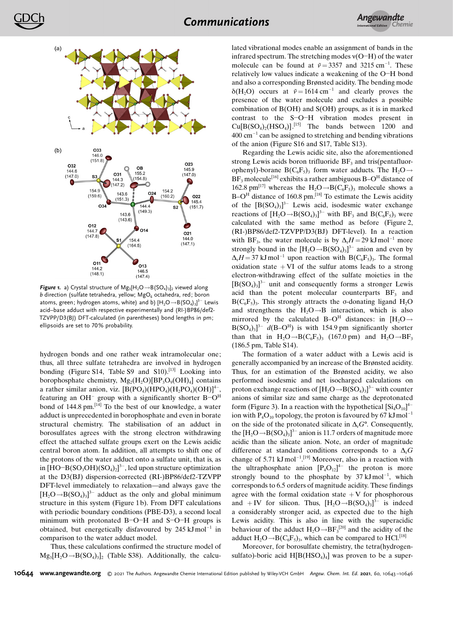

Figure 1. a) Crystal structure of  $Mg_3[H_2O \rightarrow B(SO_4)_{3}]_2$  viewed along b direction (sulfate tetrahedra, yellow;  $MgO<sub>6</sub>$  octahedra, red; boron atoms, green; hydrogen atoms, white) and b)  $[\mathsf{H}_{2}\mathsf{O}{\rightarrow}\mathsf{B}(\mathsf{SO}_4)_3]^{3-}$  Lewis acid–base adduct with respective experimentally and (RI-)BP86/def2- TZVPP/D3(BJ) DFT-calculated (in parentheses) bond lengths in pm; ellipsoids are set to 70% probability.

hydrogen bonds and one rather weak intramolecular one; thus, all three sulfate tetrahedra are involved in hydrogen bonding (Figure S14, Table S9 and S10).<sup>[13]</sup> Looking into borophosphate chemistry,  $Mg_2(H_2O)[BP_3O_9(OH)_4]$  contains a rather similar anion, viz.  $[B(PO_4)(HPO_4)(H_2PO_4)(OH)]^{4-}$ , featuring an OH<sup>-</sup> group with a significantly shorter  $B$ -O<sup>H</sup> bond of  $144.8 \text{ pm}$ .  $\left[\frac{14}{1}\right]$  To the best of our knowledge, a water adduct is unprecedented in borophosphate and even in borate structural chemistry. The stabilisation of an adduct in borosulfates agrees with the strong electron withdrawing effect the attached sulfate groups exert on the Lewis acidic central boron atom. In addition, all attempts to shift one of the protons of the water adduct onto a sulfate unit, that is, as in  $[HO-B(SO<sub>3</sub>OH)(SO<sub>4</sub>)<sub>2</sub>]<sup>3-</sup>$ , led upon structure optimization at the D3(BJ) dispersion-corrected (RI-)BP86/def2-TZVPP DFT-level immediately to relaxation—and always gave the  $[H_2O \rightarrow B(SO_4)_3]^{3-}$  adduct as the only and global minimum structure in this system (Figure 1 b). From DFT calculations with periodic boundary conditions (PBE-D3), a second local minimum with protonated B-O-H and S-O-H groups is obtained, but energetically disfavoured by  $245 \text{ kJ} \text{mol}^{-1}$  in comparison to the water adduct model.

Thus, these calculations confirmed the structure model of  $Mg_3[H_2O \rightarrow B(SO_4)_3]_2$  (Table S38). Additionally, the calculated vibrational modes enable an assignment of bands in the infrared spectrum. The stretching modes  $v(O-H)$  of the water molecule can be found at  $\tilde{v} = 3357$  and 3215 cm<sup>-1</sup>. These relatively low values indicate a weakening of the O-H bond and also a corresponding Brønsted acidity. The bending mode  $\delta(H_2O)$  occurs at  $\tilde{v} = 1614 \text{ cm}^{-1}$  and clearly proves the presence of the water molecule and excludes a possible combination of B(OH) and S(OH) groups, as it is in marked contrast to the S-O-H vibration modes present in  $Cu[B(SO<sub>4</sub>)<sub>2</sub>(HSO<sub>4</sub>)]$ .<sup>[15]</sup> The bands between 1200 and  $400 \text{ cm}^{-1}$  can be assigned to stretching and bending vibrations of the anion (Figure S16 and S17, Table S13).

Regarding the Lewis acidic site, also the aforementioned strong Lewis acids boron trifluoride  $BF<sub>3</sub>$  and tris(pentafluorophenyl)-borane B( $C_6F_5$ )<sub>3</sub> form water adducts. The H<sub>2</sub>O  $\rightarrow$  $BF_3$  molecule<sup>[16]</sup> exhibits a rather ambiguous B-O<sup>H</sup> distance of 162.8 pm<sup>[17]</sup> whereas the H<sub>2</sub>O  $\rightarrow$  B(C<sub>6</sub>F<sub>5</sub>)<sub>3</sub> molecule shows a B–O<sup>H</sup> distance of 160.8 pm.<sup>[18]</sup> To estimate the Lewis acidity of the  $[B(SO_4)_3]^3$ <sup>-</sup> Lewis acid, isodesmic water exchange reactions of  $[H_2O \rightarrow B(SO_4)_3]^3$  with BF<sub>3</sub> and B(C<sub>6</sub>F<sub>5</sub>)<sub>3</sub> were calculated with the same method as before (Figure 2, (RI-)BP86/def2-TZVPP/D3(BJ) DFT-level). In a reaction with BF<sub>3</sub>, the water molecule is by  $\Delta_r H = 29 \text{ kJ} \text{ mol}^{-1}$  more strongly bound in the  $[H_2O \rightarrow B(SO_4)_3]^{3-}$  anion and even by  $\Delta_r H = 37 \text{ kJ} \text{ mol}^{-1}$  upon reaction with B(C<sub>6</sub>F<sub>5</sub>)<sub>3</sub>. The formal oxidation state  $+VI$  of the sulfur atoms leads to a strong electron-withdrawing effect of the sulfate moieties in the  $[B(SO<sub>4</sub>)<sub>3</sub>]<sup>3-</sup>$  unit and consequently forms a stronger Lewis acid than the potent molecular counterparts  $BF<sub>3</sub>$  and  $B(C_6F_5)_3$ . This strongly attracts the o-donating ligand H<sub>2</sub>O and strengthens the  $H_2O \rightarrow B$  interaction, which is also mirrored by the calculated B–O<sup>H</sup> distances: in  $[H_2O \rightarrow$  $B(SO<sub>4</sub>)<sub>3</sub>$ <sup>3-</sup>  $d(B-O<sup>H</sup>)$  is with 154.9 pm significantly shorter than that in  $H_2O \rightarrow B(C_6F_5)$ <sub>3</sub> (167.0 pm) and  $H_2O \rightarrow BF_3$ (186.5 pm, Table S14).

The formation of a water adduct with a Lewis acid is generally accompanied by an increase of the Brønsted acidity. Thus, for an estimation of the Brønsted acidity, we also performed isodesmic and net isocharged calculations on proton exchange reactions of  $[H_2O \rightarrow B(SO_4)_3]^{3-}$  with counter anions of similar size and same charge as the deprotonated form (Figure 3). In a reaction with the hypothetical  $\left[Si_4O_{10}\right]^4$ ion with  $P_4O_{10}$  topology, the proton is favoured by 67 kJ mol<sup>-1</sup> on the side of the protonated silicate in  $\Delta_r G^{\circ}$ . Consequently, the  $[H_2O \rightarrow B(SO_4)_3]$ <sup>3-</sup> anion is 11.7 orders of magnitude more acidic than the silicate anion. Note, an order of magnitude difference at standard conditions corresponds to a  $\Delta_r G$ change of 5.71  $kJ \text{mol}^{-1}$ .<sup>[19]</sup> Moreover, also in a reaction with the ultraphosphate anion  $[P_4O_{12}]^{4-}$  the proton is more strongly bound to the phosphate by  $37 \text{ kJ} \text{mol}^{-1}$ , which corresponds to 6.5 orders of magnitude acidity. These findings agree with the formal oxidation state  $+V$  for phosphorous and + IV for silicon. Thus,  $[H_2O \rightarrow B(SO_4)_3]^{3-}$  is indeed a considerably stronger acid, as expected due to the high Lewis acidity. This is also in line with the superacidic behaviour of the adduct  $H_2O \rightarrow BF_3^{[20]}$  and the acidity of the adduct  $H_2O \rightarrow B(C_6F_5)$ , which can be compared to HCl.<sup>[18]</sup>

Moreover, for borosulfate chemistry, the tetra(hydrogensulfato)-boric acid  $H[B(HSO_4)_4]$  was proven to be a super-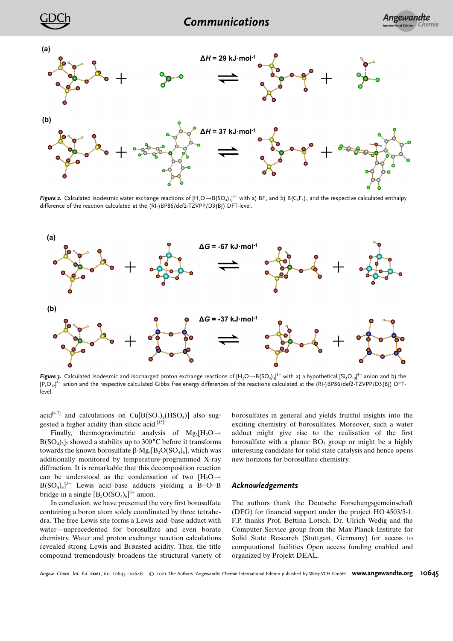

 $\bm{\mathsf{Figure~2.}}$  Calculated isodesmic water exchange reactions of  $[\mathsf{H}_2\mathsf{O}{\to}\mathsf{B}(\mathsf{SO}_4)_3]^3^-$  with a)  $\mathsf{BF}_3$  and b)  $\mathsf{B}(\mathsf{C}_6\mathsf{F}_5)_3$  and the respective calculated enthalpy difference of the reaction calculated at the (RI-)BP86/def2-TZVPP/D3(BJ) DFT-level.



**Figure 3.** Calculated isodesmic and isocharged proton exchange reactions of [H<sub>2</sub>O $\rightarrow$ B(SO<sub>4)3]</sub>3- with a) a hypothetical [Si<sub>4</sub>O<sub>10]</sub>4- anion and b) the  ${\rm [P_4O_{12}]^{4-}}$  anion and the respective calculated Gibbs free energy differences of the reactions calculated at the (RI-)BP86/def2-TZVPP/D3(BJ) DFTlevel.

acid<sup>[4,7]</sup> and calculations on  $Cu[B(SO<sub>4</sub>)<sub>2</sub>(HSO<sub>4</sub>)]$  also suggested a higher acidity than silicic acid.[15]

Finally, thermogravimetric analysis of  $Mg_3[H_2O \rightarrow$  $B(SO<sub>4</sub>)<sub>3</sub>$ <sub>2</sub> showed a stability up to 300 °C before it transforms towards the known borosulfate  $\beta$ -Mg<sub>4</sub>[B<sub>2</sub>O(SO<sub>4</sub>)<sub>6</sub>], which was additionally monitored by temperature-programmed X-ray diffraction. It is remarkable that this decomposition reaction can be understood as the condensation of two  $[H_2O] \rightarrow$  $B(SO_4)_3^3$ <sup>-</sup> Lewis acid–base adducts yielding a B-O-B bridge in a single  $[B_2O(SO_4)_6]^{8-}$  anion.

In conclusion, we have presented the very first borosulfate containing a boron atom solely coordinated by three tetrahedra. The free Lewis site forms a Lewis acid–base adduct with water—unprecedented for borosulfate and even borate chemistry. Water and proton exchange reaction calculations revealed strong Lewis and Brønsted acidity. Thus, the title compound tremendously broadens the structural variety of

borosulfates in general and yields fruitful insights into the exciting chemistry of borosulfates. Moreover, such a water adduct might give rise to the realisation of the first borosulfate with a planar  $BO_3$  group or might be a highly interesting candidate for solid state catalysis and hence opens new horizons for borosulfate chemistry.

## Acknowledgements

The authors thank the Deutsche Forschungsgemeinschaft (DFG) for financial support under the project HO 4503/5-1. F.P. thanks Prof. Bettina Lotsch, Dr. Ulrich Wedig and the Computer Service group from the Max-Planck-Institute for Solid State Research (Stuttgart, Germany) for access to computational facilities Open access funding enabled and organized by Projekt DEAL.

Angew. Chem. Int. Ed. 2021, 60, 10643–10646 © 2021 The Authors. Angewandte Chemie International Edition published by Wiley-VCH GmbH **[www.angewandte.org](http://www.angewandte.org) 10645**